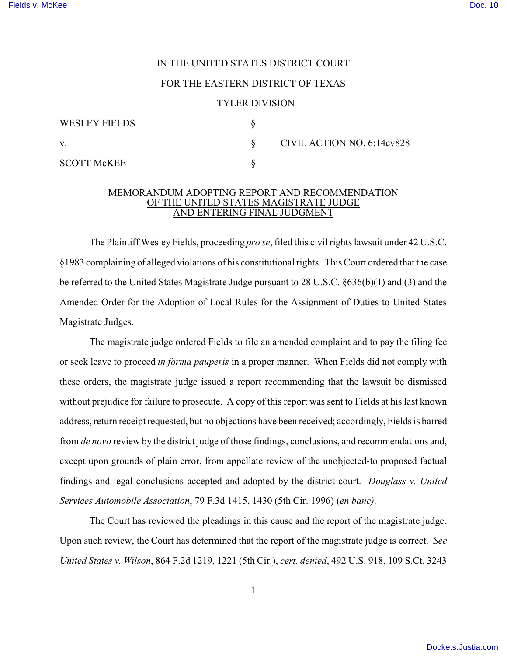## IN THE UNITED STATES DISTRICT COURT

## FOR THE EASTERN DISTRICT OF TEXAS

## TYLER DIVISION

| <b>WESLEY FIELDS</b> |                            |
|----------------------|----------------------------|
| V.                   | CIVIL ACTION NO. 6:14cv828 |
| <b>SCOTT McKEE</b>   |                            |

## MEMORANDUM ADOPTING REPORT AND RECOMMENDATION OF THE UNITED STATES MAGISTRATE JUDGE AND ENTERING FINAL JUDGMENT

The Plaintiff Wesley Fields, proceeding *pro se*, filed this civil rights lawsuit under 42 U.S.C. §1983 complaining of alleged violations of his constitutional rights. This Court ordered that the case be referred to the United States Magistrate Judge pursuant to 28 U.S.C. §636(b)(1) and (3) and the Amended Order for the Adoption of Local Rules for the Assignment of Duties to United States Magistrate Judges.

The magistrate judge ordered Fields to file an amended complaint and to pay the filing fee or seek leave to proceed *in forma pauperis* in a proper manner. When Fields did not comply with these orders, the magistrate judge issued a report recommending that the lawsuit be dismissed without prejudice for failure to prosecute. A copy of this report was sent to Fields at his last known address, return receipt requested, but no objections have been received; accordingly, Fields is barred from *de novo* review by the district judge of those findings, conclusions, and recommendations and, except upon grounds of plain error, from appellate review of the unobjected-to proposed factual findings and legal conclusions accepted and adopted by the district court. *Douglass v. United Services Automobile Association*, 79 F.3d 1415, 1430 (5th Cir. 1996) (*en banc)*.

The Court has reviewed the pleadings in this cause and the report of the magistrate judge. Upon such review, the Court has determined that the report of the magistrate judge is correct. *See United States v. Wilson*, 864 F.2d 1219, 1221 (5th Cir.), *cert. denied*, 492 U.S. 918, 109 S.Ct. 3243